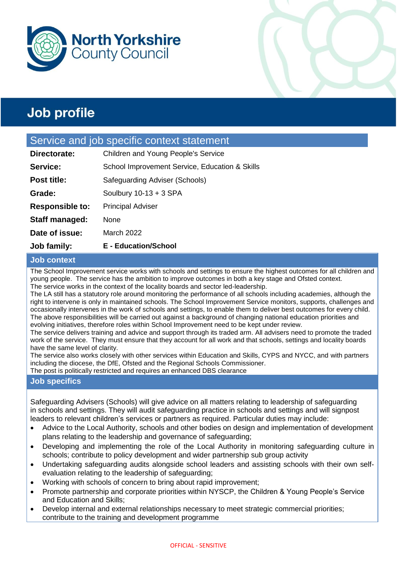



### Service and job specific context statement

| <b>Job family:</b>     | <b>E</b> - Education/School                    |  |
|------------------------|------------------------------------------------|--|
| Date of issue:         | March 2022                                     |  |
| Staff managed:         | None                                           |  |
| <b>Responsible to:</b> | <b>Principal Adviser</b>                       |  |
| Grade:                 | Soulbury $10-13 + 3$ SPA                       |  |
| <b>Post title:</b>     | Safeguarding Adviser (Schools)                 |  |
| Service:               | School Improvement Service, Education & Skills |  |
| Directorate:           | Children and Young People's Service            |  |

#### **Job context**

The School Improvement service works with schools and settings to ensure the highest outcomes for all children and young people. The service has the ambition to improve outcomes in both a key stage and Ofsted context. The service works in the context of the locality boards and sector led-leadership.

The LA still has a statutory role around monitoring the performance of all schools including academies, although the right to intervene is only in maintained schools. The School Improvement Service monitors, supports, challenges and occasionally intervenes in the work of schools and settings, to enable them to deliver best outcomes for every child. The above responsibilities will be carried out against a background of changing national education priorities and evolving initiatives, therefore roles within School Improvement need to be kept under review.

The service delivers training and advice and support through its traded arm. All advisers need to promote the traded work of the service. They must ensure that they account for all work and that schools, settings and locality boards have the same level of clarity.

The service also works closely with other services within Education and Skills, CYPS and NYCC, and with partners including the diocese, the DfE, Ofsted and the Regional Schools Commissioner. The post is politically restricted and requires an enhanced DBS clearance

#### **Job specifics**

Safeguarding Advisers (Schools) will give advice on all matters relating to leadership of safeguarding in schools and settings. They will audit safeguarding practice in schools and settings and will signpost leaders to relevant children's services or partners as required. Particular duties may include:

- Advice to the Local Authority, schools and other bodies on design and implementation of development plans relating to the leadership and governance of safeguarding;
- Developing and implementing the role of the Local Authority in monitoring safeguarding culture in schools; contribute to policy development and wider partnership sub group activity
- Undertaking safeguarding audits alongside school leaders and assisting schools with their own selfevaluation relating to the leadership of safeguarding;
- Working with schools of concern to bring about rapid improvement;
- Promote partnership and corporate priorities within NYSCP, the Children & Young People's Service and Education and Skills;
- Develop internal and external relationships necessary to meet strategic commercial priorities; contribute to the training and development programme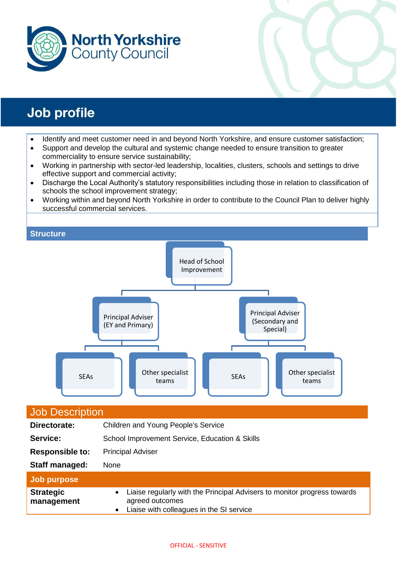



- Identify and meet customer need in and beyond North Yorkshire, and ensure customer satisfaction;
- Support and develop the cultural and systemic change needed to ensure transition to greater commerciality to ensure service sustainability;
- Working in partnership with sector-led leadership, localities, clusters, schools and settings to drive effective support and commercial activity;
- Discharge the Local Authority's statutory responsibilities including those in relation to classification of schools the school improvement strategy;
- Working within and beyond North Yorkshire in order to contribute to the Council Plan to deliver highly successful commercial services.



| <b>Job Description</b>         |                                                                                                                                                                   |  |
|--------------------------------|-------------------------------------------------------------------------------------------------------------------------------------------------------------------|--|
| Directorate:                   | Children and Young People's Service                                                                                                                               |  |
| Service:                       | School Improvement Service, Education & Skills                                                                                                                    |  |
| <b>Responsible to:</b>         | <b>Principal Adviser</b>                                                                                                                                          |  |
| Staff managed:                 | <b>None</b>                                                                                                                                                       |  |
| Job purpose                    |                                                                                                                                                                   |  |
| <b>Strategic</b><br>management | Liaise regularly with the Principal Advisers to monitor progress towards<br>$\bullet$<br>agreed outcomes<br>Liaise with colleagues in the SI service<br>$\bullet$ |  |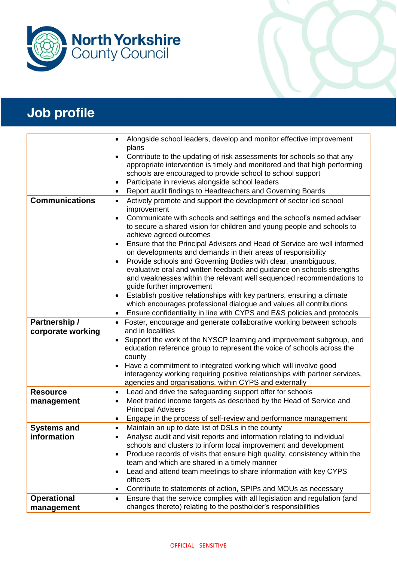

|                                  | Alongside school leaders, develop and monitor effective improvement<br>plans                                                                                                                                                                                         |
|----------------------------------|----------------------------------------------------------------------------------------------------------------------------------------------------------------------------------------------------------------------------------------------------------------------|
|                                  | Contribute to the updating of risk assessments for schools so that any<br>appropriate intervention is timely and monitored and that high performing<br>schools are encouraged to provide school to school support<br>Participate in reviews alongside school leaders |
|                                  | Report audit findings to Headteachers and Governing Boards                                                                                                                                                                                                           |
| <b>Communications</b>            | Actively promote and support the development of sector led school<br>$\bullet$<br>improvement                                                                                                                                                                        |
|                                  | Communicate with schools and settings and the school's named adviser<br>$\bullet$<br>to secure a shared vision for children and young people and schools to<br>achieve agreed outcomes                                                                               |
|                                  | Ensure that the Principal Advisers and Head of Service are well informed<br>on developments and demands in their areas of responsibility                                                                                                                             |
|                                  | Provide schools and Governing Bodies with clear, unambiguous,<br>evaluative oral and written feedback and guidance on schools strengths<br>and weaknesses within the relevant well sequenced recommendations to<br>guide further improvement                         |
|                                  | Establish positive relationships with key partners, ensuring a climate<br>which encourages professional dialogue and values all contributions                                                                                                                        |
|                                  | Ensure confidentiality in line with CYPS and E&S policies and protocols                                                                                                                                                                                              |
| Partnership /                    | Foster, encourage and generate collaborative working between schools<br>$\bullet$                                                                                                                                                                                    |
| corporate working                | and in localities                                                                                                                                                                                                                                                    |
|                                  | Support the work of the NYSCP learning and improvement subgroup, and<br>education reference group to represent the voice of schools across the<br>county                                                                                                             |
|                                  | Have a commitment to integrated working which will involve good<br>interagency working requiring positive relationships with partner services,<br>agencies and organisations, within CYPS and externally                                                             |
| <b>Resource</b>                  | Lead and drive the safeguarding support offer for schools<br>$\bullet$                                                                                                                                                                                               |
| management                       | Meet traded income targets as described by the Head of Service and<br>$\bullet$<br><b>Principal Advisers</b>                                                                                                                                                         |
|                                  | Engage in the process of self-review and performance management                                                                                                                                                                                                      |
| <b>Systems and</b>               | Maintain an up to date list of DSLs in the county<br>$\bullet$                                                                                                                                                                                                       |
| information                      | Analyse audit and visit reports and information relating to individual                                                                                                                                                                                               |
|                                  | schools and clusters to inform local improvement and development                                                                                                                                                                                                     |
|                                  | Produce records of visits that ensure high quality, consistency within the<br>team and which are shared in a timely manner                                                                                                                                           |
|                                  | Lead and attend team meetings to share information with key CYPS<br>officers                                                                                                                                                                                         |
|                                  | Contribute to statements of action, SPIPs and MOUs as necessary                                                                                                                                                                                                      |
| <b>Operational</b><br>management | Ensure that the service complies with all legislation and regulation (and<br>changes thereto) relating to the postholder's responsibilities                                                                                                                          |
|                                  |                                                                                                                                                                                                                                                                      |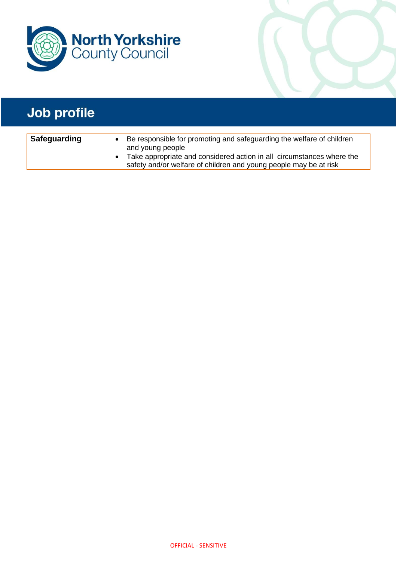

| <b>Safeguarding</b> | Be responsible for promoting and safeguarding the welfare of children |
|---------------------|-----------------------------------------------------------------------|
|                     | and young people                                                      |
|                     | Take appropriate and considered action in all circumstances where the |
|                     | safety and/or welfare of children and young people may be at risk     |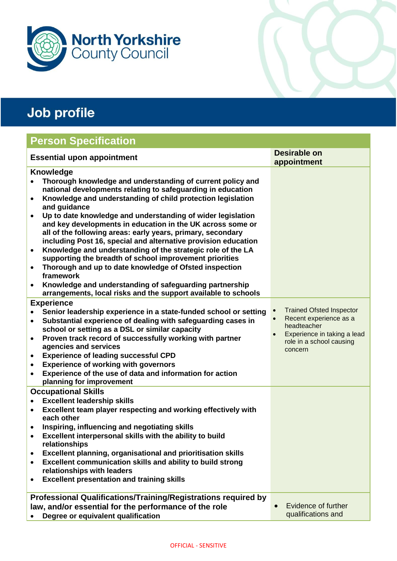

## **Person Specification**

| <b>Essential upon appointment</b>                                                                                                                                                                          | Desirable on                                                             |
|------------------------------------------------------------------------------------------------------------------------------------------------------------------------------------------------------------|--------------------------------------------------------------------------|
| Knowledge<br>Thorough knowledge and understanding of current policy and<br>national developments relating to safeguarding in education                                                                     | appointment                                                              |
| Knowledge and understanding of child protection legislation<br>$\bullet$<br>and guidance<br>Up to date knowledge and understanding of wider legislation                                                    |                                                                          |
| and key developments in education in the UK across some or<br>all of the following areas: early years, primary, secondary<br>including Post 16, special and alternative provision education                |                                                                          |
| Knowledge and understanding of the strategic role of the LA<br>$\bullet$<br>supporting the breadth of school improvement priorities<br>Thorough and up to date knowledge of Ofsted inspection<br>$\bullet$ |                                                                          |
| framework<br>Knowledge and understanding of safeguarding partnership<br>arrangements, local risks and the support available to schools                                                                     |                                                                          |
| <b>Experience</b>                                                                                                                                                                                          |                                                                          |
| Senior leadership experience in a state-funded school or setting<br>Substantial experience of dealing with safeguarding cases in<br>$\bullet$<br>school or setting as a DSL or similar capacity            | <b>Trained Ofsted Inspector</b><br>Recent experience as a<br>headteacher |
| Proven track record of successfully working with partner<br>$\bullet$<br>agencies and services                                                                                                             | Experience in taking a lead<br>role in a school causing<br>concern       |
| <b>Experience of leading successful CPD</b><br>$\bullet$<br><b>Experience of working with governors</b><br>$\bullet$<br>Experience of the use of data and information for action<br>$\bullet$              |                                                                          |
| planning for improvement<br><b>Occupational Skills</b>                                                                                                                                                     |                                                                          |
| <b>Excellent leadership skills</b>                                                                                                                                                                         |                                                                          |
| Excellent team player respecting and working effectively with<br>٠<br>each other                                                                                                                           |                                                                          |
| Inspiring, influencing and negotiating skills<br>Excellent interpersonal skills with the ability to build<br>relationships                                                                                 |                                                                          |
| Excellent planning, organisational and prioritisation skills<br>Excellent communication skills and ability to build strong<br>$\bullet$<br>relationships with leaders                                      |                                                                          |
| <b>Excellent presentation and training skills</b>                                                                                                                                                          |                                                                          |
| <b>Professional Qualifications/Training/Registrations required by</b>                                                                                                                                      |                                                                          |
| law, and/or essential for the performance of the role<br>Degree or equivalent qualification                                                                                                                | Evidence of further<br>qualifications and                                |